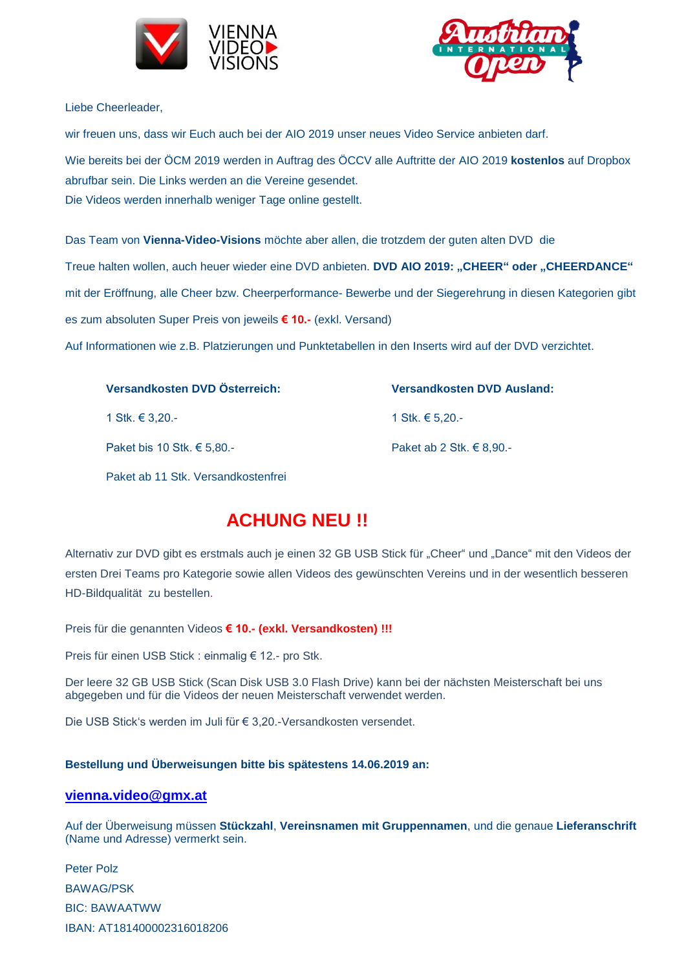



Liebe Cheerleader,

wir freuen uns, dass wir Euch auch bei der AIO 2019 unser neues Video Service anbieten darf. Wie bereits bei der ÖCM 2019 werden in Auftrag des ÖCCV alle Auftritte der AIO 2019 **kostenlos** auf Dropbox abrufbar sein. Die Links werden an die Vereine gesendet. Die Videos werden innerhalb weniger Tage online gestellt.

Das Team von **Vienna-Video-Visions** möchte aber allen, die trotzdem der guten alten DVD die

Treue halten wollen, auch heuer wieder eine DVD anbieten. **DVD AIO 2019: "CHEER" oder "CHEERDANCE"** mit der Eröffnung, alle Cheer bzw. Cheerperformance- Bewerbe und der Siegerehrung in diesen Kategorien gibt es zum absoluten Super Preis von jeweils **€ 10.-** (exkl. Versand)

Auf Informationen wie z.B. Platzierungen und Punktetabellen in den Inserts wird auf der DVD verzichtet.

| Versandkosten DVD Österreich: | <b>Versandkosten DVD Ausland:</b> |
|-------------------------------|-----------------------------------|
| 1 Stk. € 3.20.-               | 1 Stk. € 5,20.-                   |
| Paket bis 10 Stk. $€ 5,80.$   | Paket ab 2 Stk. $\in$ 8,90.-      |

Paket ab 11 Stk. Versandkostenfrei

# **ACHUNG NEU !!**

Alternativ zur DVD gibt es erstmals auch je einen 32 GB USB Stick für "Cheer" und "Dance" mit den Videos der ersten Drei Teams pro Kategorie sowie allen Videos des gewünschten Vereins und in der wesentlich besseren HD-Bildqualität zu bestellen.

Preis für die genannten Videos **€ 10.- (exkl. Versandkosten) !!!** 

Preis für einen USB Stick : einmalig € 12.- pro Stk.

Der leere 32 GB USB Stick (Scan Disk USB 3.0 Flash Drive) kann bei der nächsten Meisterschaft bei uns abgegeben und für die Videos der neuen Meisterschaft verwendet werden.

Die USB Stick's werden im Juli für € 3,20.-Versandkosten versendet.

## **Bestellung und Überweisungen bitte bis spätestens 14.06.2019 an:**

## **[vienna.video@gmx.at](mailto:vienna.video@gmx.at)**

Auf der Überweisung müssen **Stückzahl**, **Vereinsnamen mit Gruppennamen**, und die genaue **Lieferanschrift** (Name und Adresse) vermerkt sein.

Peter Polz BAWAG/PSK BIC: BAWAATWW IBAN: AT181400002316018206